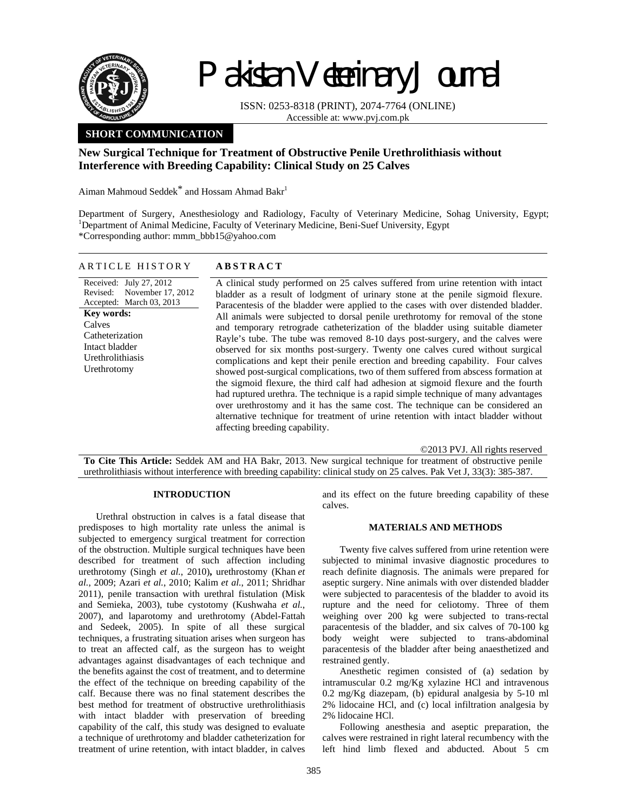

# Pakistan Veterinary Journal

ISSN: 0253-8318 (PRINT), 2074-7764 (ONLINE) Accessible at: www.pvj.com.pk

## **SHORT COMMUNICATION**

## **New Surgical Technique for Treatment of Obstructive Penile Urethrolithiasis without Interference with Breeding Capability: Clinical Study on 25 Calves**

Aiman Mahmoud Seddek<sup>\*</sup> and Hossam Ahmad Bakr<sup>1</sup>

Department of Surgery, Anesthesiology and Radiology, Faculty of Veterinary Medicine, Sohag University, Egypt; <sup>1</sup>Department of Animal Medicine, Faculty of Veterinary Medicine, Beni-Suef University, Egypt \*Corresponding author: mmm\_bbb15@yahoo.com

| ARTICLE HISTORY                                                                                                                                                                      | <b>ABSTRACT</b>                                                                                                                                                                                                                                                                                                                                                                                                                                                                                                                                                                                                                                                                                                                                                                                                                                                                                                                                                                                                                                                                                                                                                                                          |
|--------------------------------------------------------------------------------------------------------------------------------------------------------------------------------------|----------------------------------------------------------------------------------------------------------------------------------------------------------------------------------------------------------------------------------------------------------------------------------------------------------------------------------------------------------------------------------------------------------------------------------------------------------------------------------------------------------------------------------------------------------------------------------------------------------------------------------------------------------------------------------------------------------------------------------------------------------------------------------------------------------------------------------------------------------------------------------------------------------------------------------------------------------------------------------------------------------------------------------------------------------------------------------------------------------------------------------------------------------------------------------------------------------|
| Received: July 27, 2012<br>November 17, 2012<br>Revised:<br>Accepted: March 03, 2013<br>Key words:<br>Calves<br>Catheterization<br>Intact bladder<br>Urethrolithiasis<br>Urethrotomy | A clinical study performed on 25 calves suffered from urine retention with intact<br>bladder as a result of lodgment of urinary stone at the penile sigmoid flexure.<br>Paracentesis of the bladder were applied to the cases with over distended bladder.<br>All animals were subjected to dorsal penile urethrotomy for removal of the stone<br>and temporary retrograde catheterization of the bladder using suitable diameter<br>Rayle's tube. The tube was removed 8-10 days post-surgery, and the calves were<br>observed for six months post-surgery. Twenty one calves cured without surgical<br>complications and kept their penile erection and breeding capability. Four calves<br>showed post-surgical complications, two of them suffered from abscess formation at<br>the sigmoid flexure, the third calf had adhesion at sigmoid flexure and the fourth<br>had ruptured urethra. The technique is a rapid simple technique of many advantages<br>over urethrostomy and it has the same cost. The technique can be considered an<br>alternative technique for treatment of urine retention with intact bladder without<br>affecting breeding capability.<br>©2013 PVJ. All rights reserved |
|                                                                                                                                                                                      | <b>To Cite This Article:</b> Seddek AM and HA Bakr. 2013. New surgical technique for treatment of obstructive penile                                                                                                                                                                                                                                                                                                                                                                                                                                                                                                                                                                                                                                                                                                                                                                                                                                                                                                                                                                                                                                                                                     |

**To Cite This Article:** Seddek AM and HA Bakr, 2013. New surgical technique for treatment of obstructive penile urethrolithiasis without interference with breeding capability: clinical study on 25 calves. Pak Vet J, 33(3): 385-387.

### **INTRODUCTION**

Urethral obstruction in calves is a fatal disease that predisposes to high mortality rate unless the animal is subjected to emergency surgical treatment for correction of the obstruction. Multiple surgical techniques have been described for treatment of such affection including urethrotomy (Singh *et al.*, 2010)**,** urethrostomy (Khan *et al.*, 2009; Azari *et al.*, 2010; Kalim *et al.*, 2011; Shridhar 2011), penile transaction with urethral fistulation (Misk and Semieka, 2003), tube cystotomy (Kushwaha *et al.*, 2007), and laparotomy and urethrotomy (Abdel-Fattah and Sedeek, 2005). In spite of all these surgical techniques, a frustrating situation arises when surgeon has to treat an affected calf, as the surgeon has to weight advantages against disadvantages of each technique and the benefits against the cost of treatment, and to determine the effect of the technique on breeding capability of the calf. Because there was no final statement describes the best method for treatment of obstructive urethrolithiasis with intact bladder with preservation of breeding capability of the calf, this study was designed to evaluate a technique of urethrotomy and bladder catheterization for treatment of urine retention, with intact bladder, in calves

and its effect on the future breeding capability of these calves.

#### **MATERIALS AND METHODS**

Twenty five calves suffered from urine retention were subjected to minimal invasive diagnostic procedures to reach definite diagnosis. The animals were prepared for aseptic surgery. Nine animals with over distended bladder were subjected to paracentesis of the bladder to avoid its rupture and the need for celiotomy. Three of them weighing over 200 kg were subjected to trans-rectal paracentesis of the bladder, and six calves of 70-100 kg body weight were subjected to trans-abdominal paracentesis of the bladder after being anaesthetized and restrained gently.

Anesthetic regimen consisted of (a) sedation by intramuscular 0.2 mg/Kg xylazine HCl and intravenous 0.2 mg/Kg diazepam, (b) epidural analgesia by 5-10 ml 2% lidocaine HCl, and (c) local infiltration analgesia by 2% lidocaine HCl.

Following anesthesia and aseptic preparation, the calves were restrained in right lateral recumbency with the left hind limb flexed and abducted. About 5 cm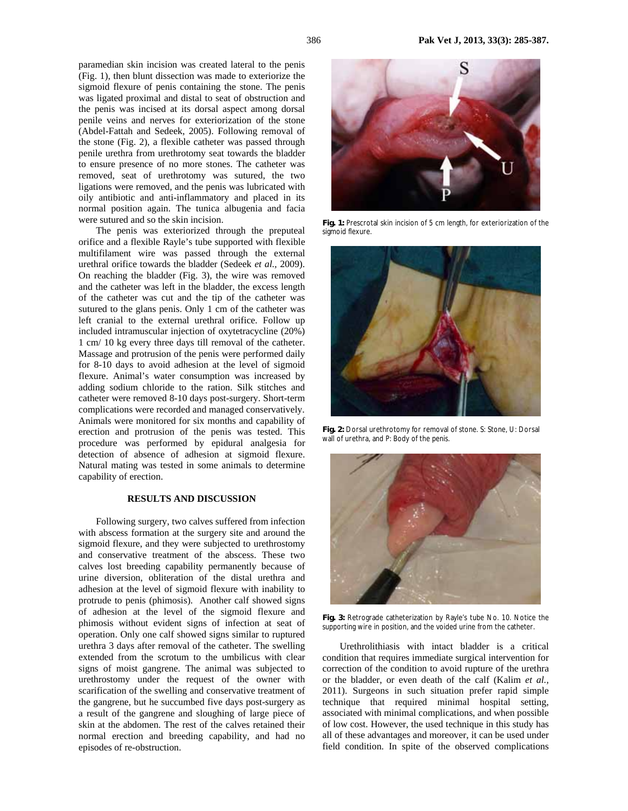paramedian skin incision was created lateral to the penis (Fig. 1), then blunt dissection was made to exteriorize the sigmoid flexure of penis containing the stone. The penis was ligated proximal and distal to seat of obstruction and the penis was incised at its dorsal aspect among dorsal penile veins and nerves for exteriorization of the stone (Abdel-Fattah and Sedeek, 2005). Following removal of the stone (Fig. 2), a flexible catheter was passed through penile urethra from urethrotomy seat towards the bladder to ensure presence of no more stones. The catheter was removed, seat of urethrotomy was sutured, the two ligations were removed, and the penis was lubricated with oily antibiotic and anti-inflammatory and placed in its normal position again. The tunica albugenia and facia were sutured and so the skin incision.

The penis was exteriorized through the preputeal orifice and a flexible Rayle's tube supported with flexible multifilament wire was passed through the external urethral orifice towards the bladder (Sedeek *et al.,* 2009). On reaching the bladder (Fig. 3), the wire was removed and the catheter was left in the bladder, the excess length of the catheter was cut and the tip of the catheter was sutured to the glans penis. Only 1 cm of the catheter was left cranial to the external urethral orifice. Follow up included intramuscular injection of oxytetracycline (20%) 1 cm/ 10 kg every three days till removal of the catheter. Massage and protrusion of the penis were performed daily for 8-10 days to avoid adhesion at the level of sigmoid flexure. Animal's water consumption was increased by adding sodium chloride to the ration. Silk stitches and catheter were removed 8-10 days post-surgery. Short-term complications were recorded and managed conservatively. Animals were monitored for six months and capability of erection and protrusion of the penis was tested. This procedure was performed by epidural analgesia for detection of absence of adhesion at sigmoid flexure. Natural mating was tested in some animals to determine capability of erection.

### **RESULTS AND DISCUSSION**

Following surgery, two calves suffered from infection with abscess formation at the surgery site and around the sigmoid flexure, and they were subjected to urethrostomy and conservative treatment of the abscess. These two calves lost breeding capability permanently because of urine diversion, obliteration of the distal urethra and adhesion at the level of sigmoid flexure with inability to protrude to penis (phimosis). Another calf showed signs of adhesion at the level of the sigmoid flexure and phimosis without evident signs of infection at seat of operation. Only one calf showed signs similar to ruptured urethra 3 days after removal of the catheter. The swelling extended from the scrotum to the umbilicus with clear signs of moist gangrene. The animal was subjected to urethrostomy under the request of the owner with scarification of the swelling and conservative treatment of the gangrene, but he succumbed five days post-surgery as a result of the gangrene and sloughing of large piece of skin at the abdomen. The rest of the calves retained their normal erection and breeding capability, and had no episodes of re-obstruction.



**Fig. 1:** Prescrotal skin incision of 5 cm length, for exteriorization of the sigmoid flexure.



**Fig. 2:** Dorsal urethrotomy for removal of stone. S: Stone, U: Dorsal wall of urethra, and P: Body of the penis.



**Fig. 3:** Retrograde catheterization by Rayle's tube No. 10. Notice the supporting wire in position, and the voided urine from the catheter.

Urethrolithiasis with intact bladder is a critical condition that requires immediate surgical intervention for correction of the condition to avoid rupture of the urethra or the bladder, or even death of the calf (Kalim *et al.,* 2011). Surgeons in such situation prefer rapid simple technique that required minimal hospital setting, associated with minimal complications, and when possible of low cost. However, the used technique in this study has all of these advantages and moreover, it can be used under field condition. In spite of the observed complications